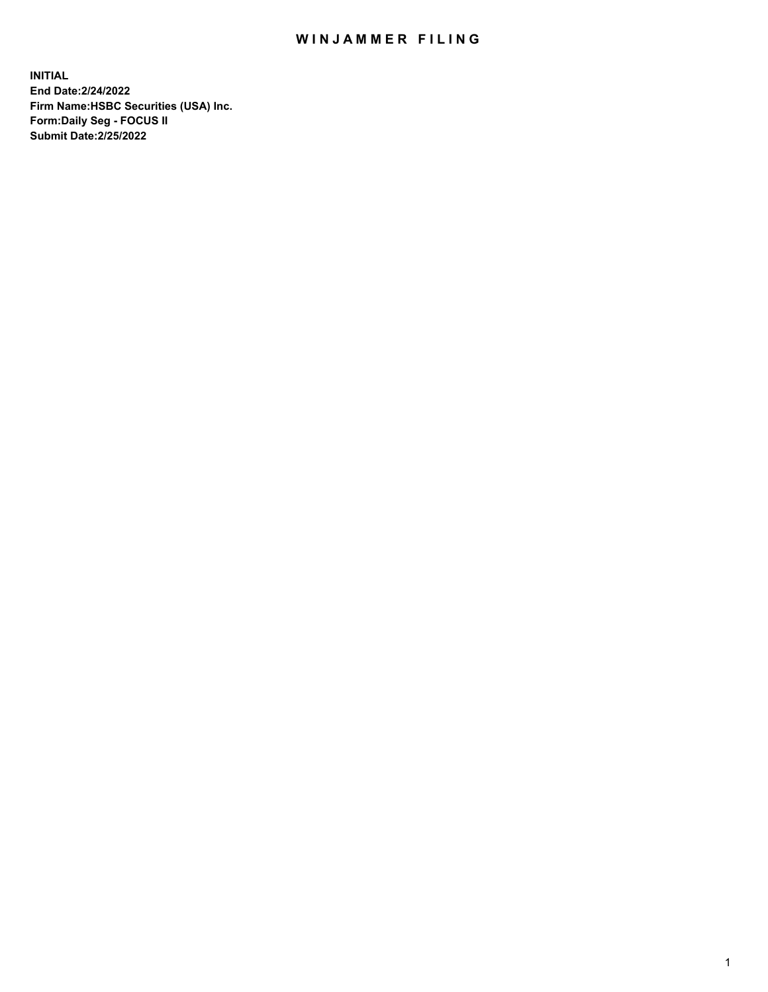## WIN JAMMER FILING

**INITIAL End Date:2/24/2022 Firm Name:HSBC Securities (USA) Inc. Form:Daily Seg - FOCUS II Submit Date:2/25/2022**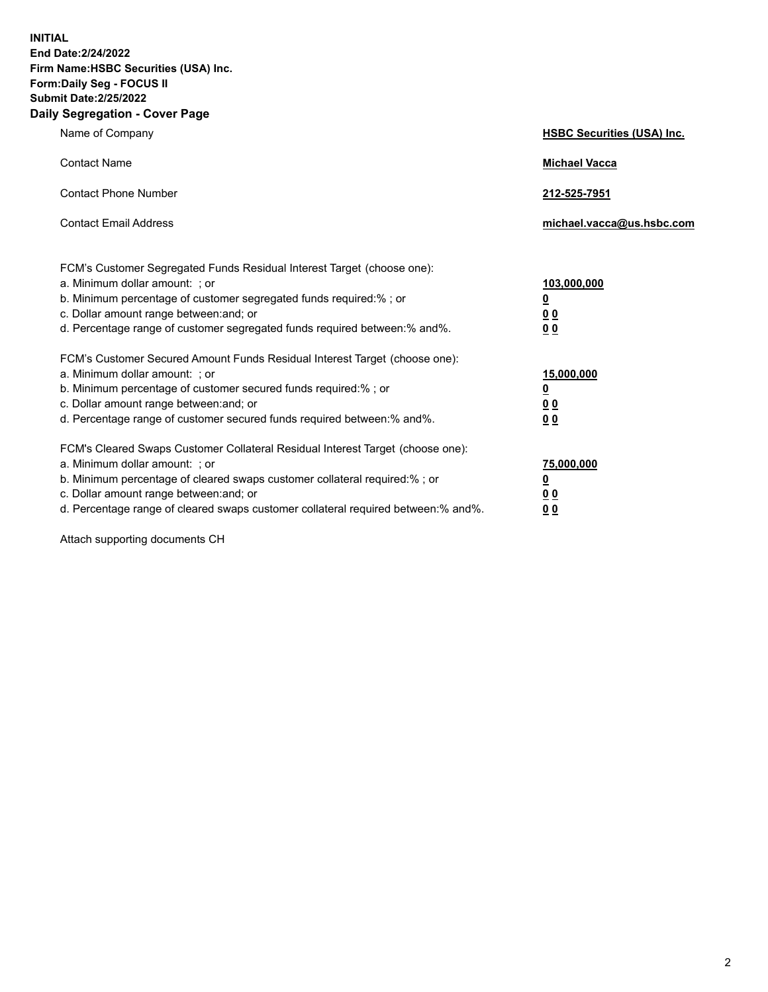**INITIAL End Date:2/24/2022 Firm Name:HSBC Securities (USA) Inc. Form:Daily Seg - FOCUS II Submit Date:2/25/2022 Daily Segregation - Cover Page**

| Name of Company                                                                                                                                                                                                                                                                                                               | <b>HSBC Securities (USA) Inc.</b>                   |
|-------------------------------------------------------------------------------------------------------------------------------------------------------------------------------------------------------------------------------------------------------------------------------------------------------------------------------|-----------------------------------------------------|
| <b>Contact Name</b>                                                                                                                                                                                                                                                                                                           | <b>Michael Vacca</b>                                |
| <b>Contact Phone Number</b>                                                                                                                                                                                                                                                                                                   | 212-525-7951                                        |
| <b>Contact Email Address</b>                                                                                                                                                                                                                                                                                                  | michael.vacca@us.hsbc.com                           |
| FCM's Customer Segregated Funds Residual Interest Target (choose one):<br>a. Minimum dollar amount: : or<br>b. Minimum percentage of customer segregated funds required:%; or<br>c. Dollar amount range between: and; or<br>d. Percentage range of customer segregated funds required between:% and%.                         | 103,000,000<br><u>0</u><br>0 <sub>0</sub><br>00     |
| FCM's Customer Secured Amount Funds Residual Interest Target (choose one):<br>a. Minimum dollar amount: ; or<br>b. Minimum percentage of customer secured funds required:%; or<br>c. Dollar amount range between: and; or<br>d. Percentage range of customer secured funds required between:% and%.                           | 15,000,000<br>₫<br>0 <sub>0</sub><br>0 <sub>0</sub> |
| FCM's Cleared Swaps Customer Collateral Residual Interest Target (choose one):<br>a. Minimum dollar amount: ; or<br>b. Minimum percentage of cleared swaps customer collateral required:%; or<br>c. Dollar amount range between: and; or<br>d. Percentage range of cleared swaps customer collateral required between:% and%. | 75,000,000<br><u>0</u><br><u>00</u><br>00           |

Attach supporting documents CH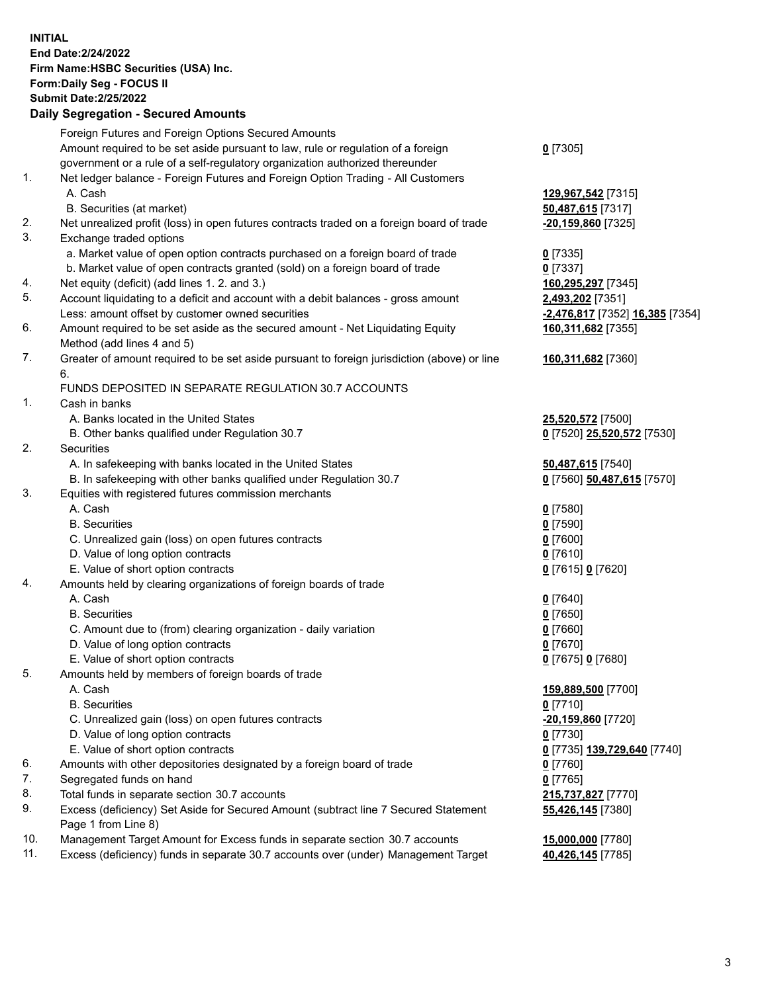**INITIAL End Date:2/24/2022 Firm Name:HSBC Securities (USA) Inc. Form:Daily Seg - FOCUS II Submit Date:2/25/2022 Daily Segregation - Secured Amounts** Foreign Futures and Foreign Options Secured Amounts Amount required to be set aside pursuant to law, rule or regulation of a foreign government or a rule of a self-regulatory organization authorized thereunder 1. Net ledger balance - Foreign Futures and Foreign Option Trading - All Customers A. Cash **129,967,542** [7315] B. Securities (at market) **50,487,615** [7317] 2. Net unrealized profit (loss) in open futures contracts traded on a foreign board of trade **-20,159,860** [7325] 3. Exchange traded options a. Market value of open option contracts purchased on a foreign board of trade **0** [7335] b. Market value of open contracts granted (sold) on a foreign board of trade **0** [7337] 4. Net equity (deficit) (add lines 1. 2. and 3.) **160,295,297** [7345] 5. Account liquidating to a deficit and account with a debit balances - gross amount **2,493,202** [7351] Less: amount offset by customer owned securities **-2,476,817** [7352] **16,385** [7354] 6. Amount required to be set aside as the secured amount - Net Liquidating Equity Method (add lines 4 and 5) 7. Greater of amount required to be set aside pursuant to foreign jurisdiction (above) or line 6. FUNDS DEPOSITED IN SEPARATE REGULATION 30.7 ACCOUNTS 1. Cash in banks A. Banks located in the United States **25,520,572** [7500] B. Other banks qualified under Regulation 30.7 **0** [7520] **25,520,572** [7530] 2. Securities A. In safekeeping with banks located in the United States **50,487,615** [7540] B. In safekeeping with other banks qualified under Regulation 30.7 **0** [7560] **50,487,615** [7570] 3. Equities with registered futures commission merchants A. Cash **0** [7580] B. Securities **0** [7590] C. Unrealized gain (loss) on open futures contracts **0** [7600] D. Value of long option contracts **0** [7610] E. Value of short option contracts **0** [7615] **0** [7620] 4. Amounts held by clearing organizations of foreign boards of trade A. Cash **0** [7640] B. Securities **0** [7650] C. Amount due to (from) clearing organization - daily variation **0** [7660] D. Value of long option contracts **0** [7670] E. Value of short option contracts **0** [7675] **0** [7680]

5. Amounts held by members of foreign boards of trade

- 
- B. Securities **0** [7710]
- C. Unrealized gain (loss) on open futures contracts **-20,159,860** [7720]
- D. Value of long option contracts **0** [7730]
- E. Value of short option contracts **0** [7735] **139,729,640** [7740]
- 6. Amounts with other depositories designated by a foreign board of trade **0** [7760]
- 7. Segregated funds on hand **0** [7765]
- 8. Total funds in separate section 30.7 accounts **215,737,827** [7770]
- 9. Excess (deficiency) Set Aside for Secured Amount (subtract line 7 Secured Statement Page 1 from Line 8)
- 10. Management Target Amount for Excess funds in separate section 30.7 accounts **15,000,000** [7780]
- 11. Excess (deficiency) funds in separate 30.7 accounts over (under) Management Target **40,426,145** [7785]

**0** [7305]

**160,311,682** [7355] **160,311,682** [7360] A. Cash **159,889,500** [7700]

**55,426,145** [7380]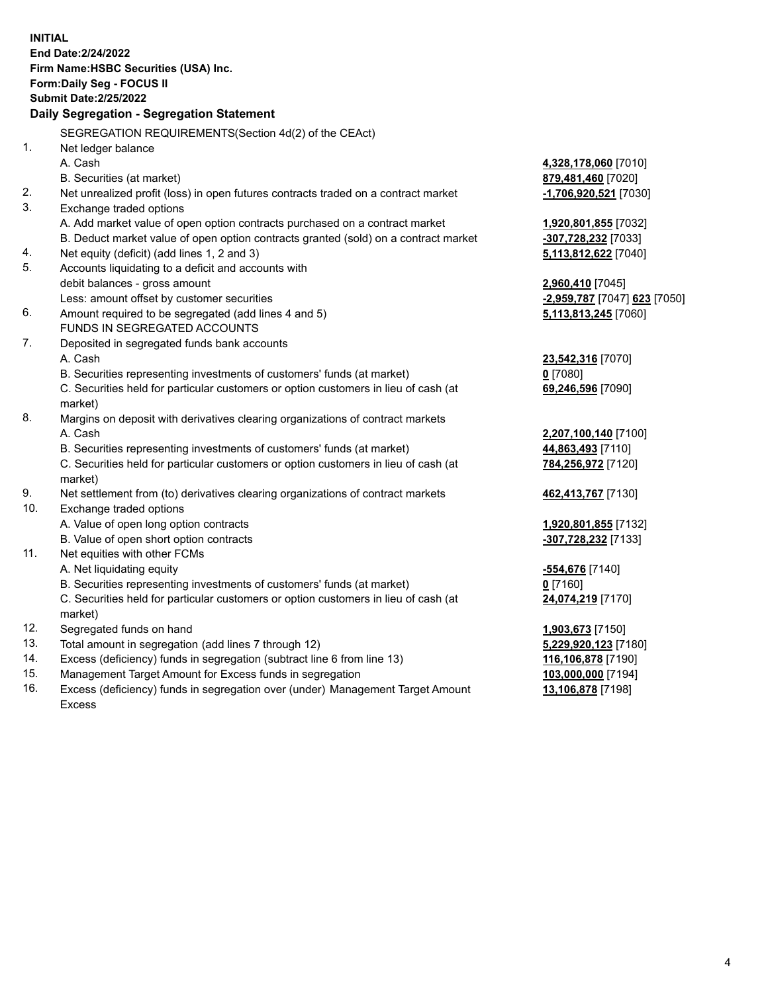**INITIAL End Date:2/24/2022 Firm Name:HSBC Securities (USA) Inc. Form:Daily Seg - FOCUS II Submit Date:2/25/2022 Daily Segregation - Segregation Statement** SEGREGATION REQUIREMENTS(Section 4d(2) of the CEAct) 1. Net ledger balance A. Cash **4,328,178,060** [7010] B. Securities (at market) **879,481,460** [7020] 2. Net unrealized profit (loss) in open futures contracts traded on a contract market **-1,706,920,521** [7030] 3. Exchange traded options A. Add market value of open option contracts purchased on a contract market **1,920,801,855** [7032] B. Deduct market value of open option contracts granted (sold) on a contract market **-307,728,232** [7033] 4. Net equity (deficit) (add lines 1, 2 and 3) **5,113,812,622** [7040] 5. Accounts liquidating to a deficit and accounts with debit balances - gross amount **2,960,410** [7045] Less: amount offset by customer securities **-2,959,787** [7047] **623** [7050] 6. Amount required to be segregated (add lines 4 and 5) **5,113,813,245** [7060] FUNDS IN SEGREGATED ACCOUNTS 7. Deposited in segregated funds bank accounts A. Cash **23,542,316** [7070] B. Securities representing investments of customers' funds (at market) **0** [7080] C. Securities held for particular customers or option customers in lieu of cash (at market) **69,246,596** [7090] 8. Margins on deposit with derivatives clearing organizations of contract markets A. Cash **2,207,100,140** [7100] B. Securities representing investments of customers' funds (at market) **44,863,493** [7110] C. Securities held for particular customers or option customers in lieu of cash (at market) **784,256,972** [7120] 9. Net settlement from (to) derivatives clearing organizations of contract markets **462,413,767** [7130] 10. Exchange traded options A. Value of open long option contracts **1,920,801,855** [7132] B. Value of open short option contracts **-307,728,232** [7133] 11. Net equities with other FCMs A. Net liquidating equity **-554,676** [7140] B. Securities representing investments of customers' funds (at market) **0** [7160] C. Securities held for particular customers or option customers in lieu of cash (at market) **24,074,219** [7170] 12. Segregated funds on hand **1,903,673** [7150] 13. Total amount in segregation (add lines 7 through 12) **5,229,920,123** [7180] 14. Excess (deficiency) funds in segregation (subtract line 6 from line 13) **116,106,878** [7190] 15. Management Target Amount for Excess funds in segregation **103,000,000** [7194] 16. Excess (deficiency) funds in segregation over (under) Management Target Amount **13,106,878** [7198]

Excess